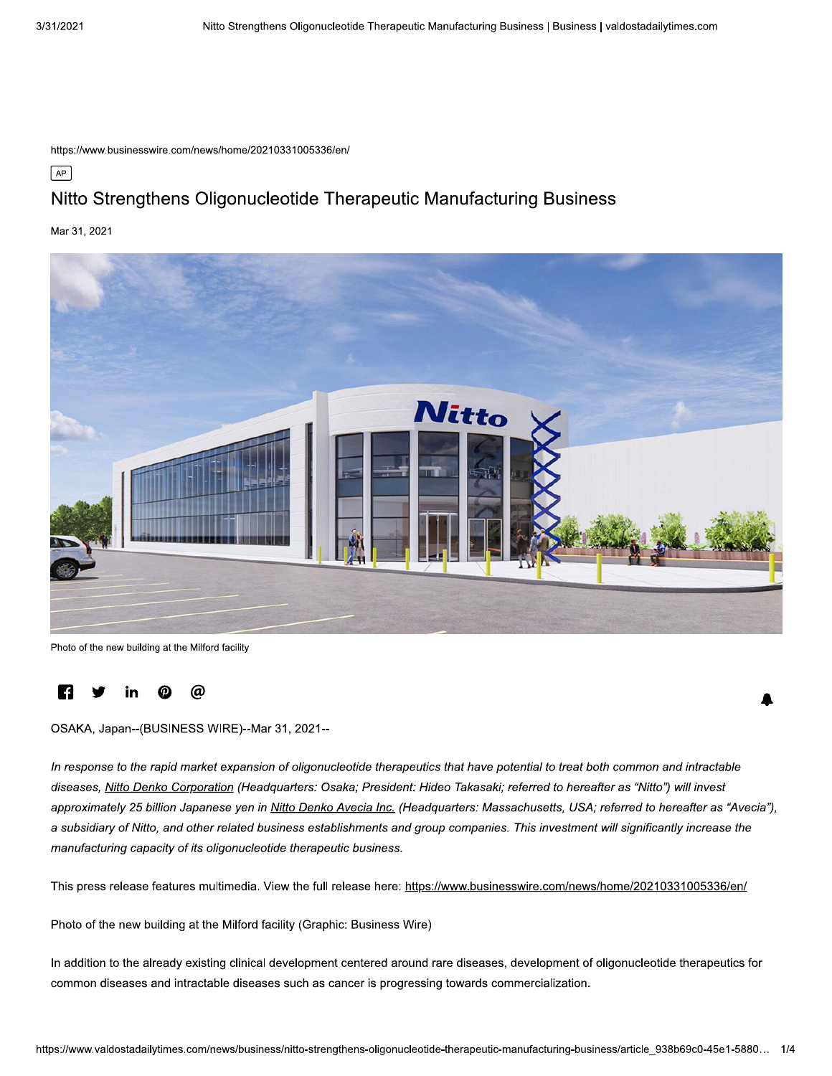https://www.businesswire.com/news/home/20210331005336/en/

 $\sqrt{AP}$ 

# Nitto Strengthens Oligonucleotide Therapeutic Manufacturing Business

Mar 31, 2021



Photo of the new building at the Milford facility

#### Ŀf @

OSAKA, Japan--(BUSINESS WIRE)--Mar 31, 2021--

In response to the rapid market expansion of oligonucleotide therapeutics that have potential to treat both common and intractable diseases, Nitto Denko Corporation (Headquarters: Osaka; President: Hideo Takasaki; referred to hereafter as "Nitto") will invest approximately 25 billion Japanese yen in Nitto Denko Avecia Inc. (Headquarters: Massachusetts, USA; referred to hereafter as "Avecia"), a subsidiary of Nitto, and other related business establishments and group companies. This investment will significantly increase the manufacturing capacity of its oligonucleotide therapeutic business.

This press release features multimedia. View the full release here: https://www.businesswire.com/news/home/20210331005336/en/

Photo of the new building at the Milford facility (Graphic: Business Wire)

In addition to the already existing clinical development centered around rare diseases, development of oligonucleotide therapeutics for common diseases and intractable diseases such as cancer is progressing towards commercialization.